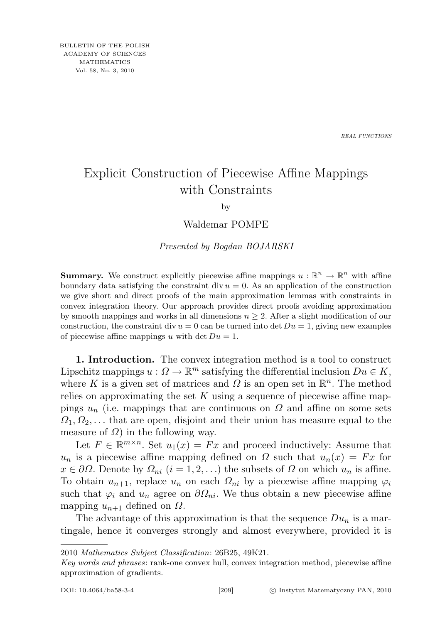*REAL FUNCTIONS*

## Explicit Construction of Piecewise Affine Mappings with Constraints

by

Waldemar POMPE

Presented by Bogdan BOJARSKI

**Summary.** We construct explicitly piecewise affine mappings  $u : \mathbb{R}^n \to \mathbb{R}^n$  with affine boundary data satisfying the constraint div  $u = 0$ . As an application of the construction we give short and direct proofs of the main approximation lemmas with constraints in convex integration theory. Our approach provides direct proofs avoiding approximation by smooth mappings and works in all dimensions  $n \geq 2$ . After a slight modification of our construction, the constraint div  $u = 0$  can be turned into det  $Du = 1$ , giving new examples of piecewise affine mappings u with det  $Du=1$ .

1. Introduction. The convex integration method is a tool to construct Lipschitz mappings  $u: \Omega \to \mathbb{R}^m$  satisfying the differential inclusion  $Du \in K$ , where K is a given set of matrices and  $\Omega$  is an open set in  $\mathbb{R}^n$ . The method relies on approximating the set K using a sequence of piecewise affine mappings  $u_n$  (i.e. mappings that are continuous on  $\Omega$  and affine on some sets  $\Omega_1, \Omega_2, \ldots$  that are open, disjoint and their union has measure equal to the measure of  $\Omega$ ) in the following way.

Let  $F \in \mathbb{R}^{m \times n}$ . Set  $u_1(x) = Fx$  and proceed inductively: Assume that  $u_n$  is a piecewise affine mapping defined on  $\Omega$  such that  $u_n(x) = Fx$  for  $x \in \partial\Omega$ . Denote by  $\Omega_{ni}$   $(i = 1, 2, ...)$  the subsets of  $\Omega$  on which  $u_n$  is affine. To obtain  $u_{n+1}$ , replace  $u_n$  on each  $\Omega_{ni}$  by a piecewise affine mapping  $\varphi_i$ such that  $\varphi_i$  and  $u_n$  agree on  $\partial \Omega_{ni}$ . We thus obtain a new piecewise affine mapping  $u_{n+1}$  defined on  $\Omega$ .

The advantage of this approximation is that the sequence  $Du_n$  is a martingale, hence it converges strongly and almost everywhere, provided it is

<sup>2010</sup> Mathematics Subject Classification: 26B25, 49K21.

Key words and phrases: rank-one convex hull, convex integration method, piecewise affine approximation of gradients.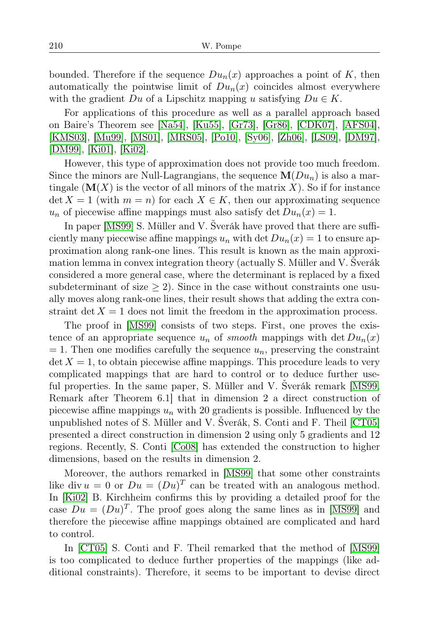bounded. Therefore if the sequence  $Du_n(x)$  approaches a point of K, then automatically the pointwise limit of  $Du_n(x)$  coincides almost everywhere with the gradient Du of a Lipschitz mapping u satisfying  $Du \in K$ .

For applications of this procedure as well as a parallel approach based on Baire's Theorem see [\[Na54\]](#page-11-0), [\[Ku55\]](#page-10-0), [\[Gr73\]](#page-10-1), [\[Gr86\]](#page-10-2), [\[CDK07\]](#page-10-3), [\[AFS04\]](#page-10-4), [\[KMS03\]](#page-10-5), [\[Mu99\]](#page-10-6), [\[MS01\]](#page-11-1), [\[MRS05\]](#page-10-7), [\[Po10\]](#page-11-2), [\[Sy06\]](#page-11-3), [\[Zh06\]](#page-11-4), [\[LS09\]](#page-10-8), [\[DM97\]](#page-10-9), [\[DM99\]](#page-10-10), [\[Ki01\]](#page-10-11), [\[Ki02\]](#page-10-12).

However, this type of approximation does not provide too much freedom. Since the minors are Null-Lagrangians, the sequence  $\mathbf{M}(Du_n)$  is also a martingale  $(M(X))$  is the vector of all minors of the matrix X). So if for instance  $\det X = 1$  (with  $m = n$ ) for each  $X \in K$ , then our approximating sequence  $u_n$  of piecewise affine mappings must also satisfy det  $Du_n(x) = 1$ .

In paper [\[MS99\]](#page-10-13) S. Müller and V. Šverák have proved that there are sufficiently many piecewise affine mappings  $u_n$  with det  $Du_n(x) = 1$  to ensure approximation along rank-one lines. This result is known as the main approximation lemma in convex integration theory (actually S. Müller and V. Šverák considered a more general case, where the determinant is replaced by a fixed subdeterminant of size  $\geq$  2). Since in the case without constraints one usually moves along rank-one lines, their result shows that adding the extra constraint det  $X = 1$  does not limit the freedom in the approximation process.

The proof in [\[MS99\]](#page-10-13) consists of two steps. First, one proves the existence of an appropriate sequence  $u_n$  of smooth mappings with det  $Du_n(x)$  $= 1$ . Then one modifies carefully the sequence  $u_n$ , preserving the constraint  $\det X = 1$ , to obtain piecewise affine mappings. This procedure leads to very complicated mappings that are hard to control or to deduce further useful properties. In the same paper, S. Müller and V. Šverák remark [\[MS99,](#page-10-13) Remark after Theorem 6.1] that in dimension 2 a direct construction of piecewise affine mappings  $u_n$  with 20 gradients is possible. Influenced by the unpublished notes of S. Müller and V. Šverák, S. Conti and F. Theil [\[CT05\]](#page-10-14) presented a direct construction in dimension 2 using only 5 gradients and 12 regions. Recently, S. Conti [\[Co08\]](#page-10-15) has extended the construction to higher dimensions, based on the results in dimension 2.

Moreover, the authors remarked in [\[MS99\]](#page-10-13) that some other constraints like div  $u = 0$  or  $Du = (Du)^T$  can be treated with an analogous method. In [\[Ki02\]](#page-10-12) B. Kirchheim confirms this by providing a detailed proof for the case  $Du = (Du)^T$ . The proof goes along the same lines as in [\[MS99\]](#page-10-13) and therefore the piecewise affine mappings obtained are complicated and hard to control.

In [\[CT05\]](#page-10-14) S. Conti and F. Theil remarked that the method of [\[MS99\]](#page-10-13) is too complicated to deduce further properties of the mappings (like additional constraints). Therefore, it seems to be important to devise direct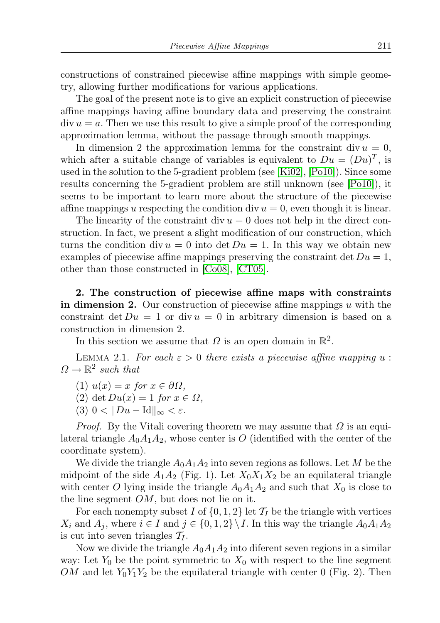constructions of constrained piecewise affine mappings with simple geometry, allowing further modifications for various applications.

The goal of the present note is to give an explicit construction of piecewise affine mappings having affine boundary data and preserving the constraint  $div u = a$ . Then we use this result to give a simple proof of the corresponding approximation lemma, without the passage through smooth mappings.

In dimension 2 the approximation lemma for the constraint div  $u = 0$ , which after a suitable change of variables is equivalent to  $Du = (Du)^T$ , is used in the solution to the 5-gradient problem (see [\[Ki02\]](#page-10-12), [\[Po10\]](#page-11-2)). Since some results concerning the 5-gradient problem are still unknown (see [\[Po10\]](#page-11-2)), it seems to be important to learn more about the structure of the piecewise affine mappings u respecting the condition div  $u = 0$ , even though it is linear.

The linearity of the constraint div  $u = 0$  does not help in the direct construction. In fact, we present a slight modification of our construction, which turns the condition div  $u = 0$  into det  $Du = 1$ . In this way we obtain new examples of piecewise affine mappings preserving the constraint det  $Du=1$ , other than those constructed in [\[Co08\]](#page-10-15), [\[CT05\]](#page-10-14).

2. The construction of piecewise affine maps with constraints in dimension 2. Our construction of piecewise affine mappings  $u$  with the constraint det  $Du = 1$  or div  $u = 0$  in arbitrary dimension is based on a construction in dimension 2.

In this section we assume that  $\Omega$  is an open domain in  $\mathbb{R}^2$ .

<span id="page-2-0"></span>LEMMA 2.1. For each  $\varepsilon > 0$  there exists a piecewise affine mapping u:  $\Omega \to \mathbb{R}^2$  such that

- (1)  $u(x) = x$  for  $x \in \partial \Omega$ ,
- (2) det  $Du(x) = 1$  for  $x \in \Omega$ ,
- (3)  $0 < ||Du Id||_{\infty} < \varepsilon$ .

*Proof.* By the Vitali covering theorem we may assume that  $\Omega$  is an equilateral triangle  $A_0A_1A_2$ , whose center is O (identified with the center of the coordinate system).

We divide the triangle  $A_0A_1A_2$  into seven regions as follows. Let M be the midpoint of the side  $A_1A_2$  (Fig. 1). Let  $X_0X_1X_2$  be an equilateral triangle with center O lying inside the triangle  $A_0A_1A_2$  and such that  $X_0$  is close to the line segment  $OM$ , but does not lie on it.

For each nonempty subset I of  $\{0, 1, 2\}$  let  $\mathcal{T}_I$  be the triangle with vertices  $X_i$  and  $A_j$ , where  $i \in I$  and  $j \in \{0,1,2\} \backslash I$ . In this way the triangle  $A_0A_1A_2$ is cut into seven triangles  $\mathcal{T}_I$ .

Now we divide the triangle  $A_0A_1A_2$  into diferent seven regions in a similar way: Let  $Y_0$  be the point symmetric to  $X_0$  with respect to the line segment OM and let  $Y_0Y_1Y_2$  be the equilateral triangle with center 0 (Fig. 2). Then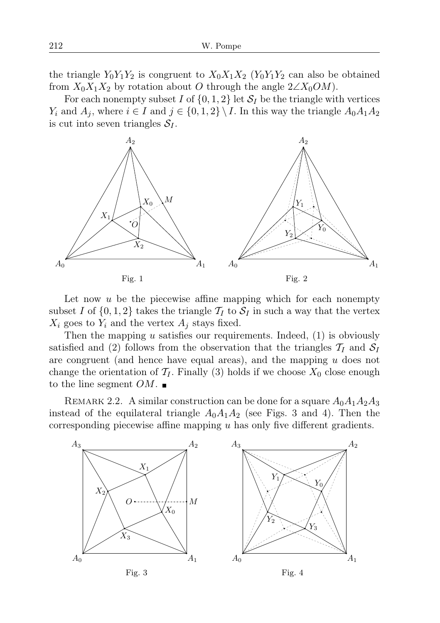the triangle  $Y_0Y_1Y_2$  is congruent to  $X_0X_1X_2$  ( $Y_0Y_1Y_2$  can also be obtained from  $X_0X_1X_2$  by rotation about O through the angle  $2\angle X_0OM$ .

For each nonempty subset I of  $\{0, 1, 2\}$  let  $S_I$  be the triangle with vertices  $Y_i$  and  $A_j$ , where  $i \in I$  and  $j \in \{0,1,2\} \backslash I$ . In this way the triangle  $A_0A_1A_2$ is cut into seven triangles  $S_I$ .



Let now  $u$  be the piecewise affine mapping which for each nonempty subset I of  $\{0, 1, 2\}$  takes the triangle  $\mathcal{T}_I$  to  $\mathcal{S}_I$  in such a way that the vertex  $X_i$  goes to  $Y_i$  and the vertex  $A_i$  stays fixed.

Then the mapping  $u$  satisfies our requirements. Indeed,  $(1)$  is obviously satisfied and (2) follows from the observation that the triangles  $\mathcal{T}_I$  and  $\mathcal{S}_I$ are congruent (and hence have equal areas), and the mapping  $u$  does not change the orientation of  $\mathcal{T}_I$ . Finally (3) holds if we choose  $X_0$  close enough to the line segment  $OM.$ 

<span id="page-3-0"></span>REMARK 2.2. A similar construction can be done for a square  $A_0A_1A_2A_3$ instead of the equilateral triangle  $A_0A_1A_2$  (see Figs. 3 and 4). Then the corresponding piecewise affine mapping  $u$  has only five different gradients.

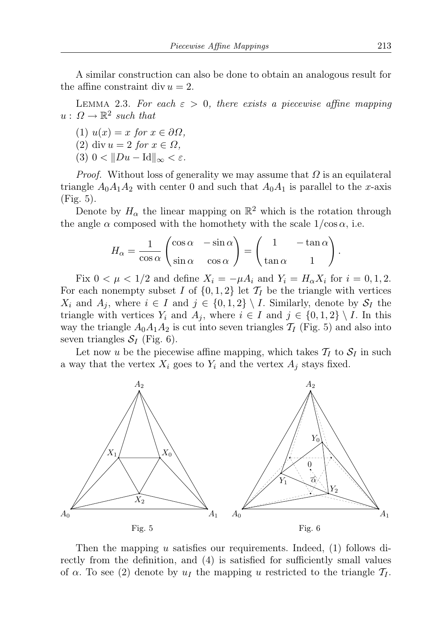A similar construction can also be done to obtain an analogous result for the affine constraint div  $u = 2$ .

<span id="page-4-0"></span>LEMMA 2.3. For each  $\varepsilon > 0$ , there exists a piecewise affine mapping  $u: \Omega \to \mathbb{R}^2$  such that

- (1)  $u(x) = x$  for  $x \in \partial\Omega$ ,
- (2) div  $u = 2$  for  $x \in \Omega$ ,
- (3)  $0 < ||Du Id||_{\infty} < \varepsilon$ .

*Proof.* Without loss of generality we may assume that  $\Omega$  is an equilateral triangle  $A_0A_1A_2$  with center 0 and such that  $A_0A_1$  is parallel to the x-axis (Fig. 5).

Denote by  $H_{\alpha}$  the linear mapping on  $\mathbb{R}^2$  which is the rotation through the angle  $\alpha$  composed with the homothety with the scale  $1/\cos \alpha$ , i.e.

$$
H_{\alpha} = \frac{1}{\cos \alpha} \begin{pmatrix} \cos \alpha & -\sin \alpha \\ \sin \alpha & \cos \alpha \end{pmatrix} = \begin{pmatrix} 1 & -\tan \alpha \\ \tan \alpha & 1 \end{pmatrix}.
$$

Fix  $0 < \mu < 1/2$  and define  $X_i = -\mu A_i$  and  $Y_i = H_\alpha X_i$  for  $i = 0, 1, 2$ . For each nonempty subset I of  $\{0, 1, 2\}$  let  $\mathcal{T}_I$  be the triangle with vertices  $X_i$  and  $A_j$ , where  $i \in I$  and  $j \in \{0,1,2\} \setminus I$ . Similarly, denote by  $S_I$  the triangle with vertices  $Y_i$  and  $A_j$ , where  $i \in I$  and  $j \in \{0,1,2\} \setminus I$ . In this way the triangle  $A_0A_1A_2$  is cut into seven triangles  $\mathcal{T}_I$  (Fig. 5) and also into seven triangles  $S_I$  (Fig. 6).

Let now u be the piecewise affine mapping, which takes  $\mathcal{T}_I$  to  $\mathcal{S}_I$  in such a way that the vertex  $X_i$  goes to  $Y_i$  and the vertex  $A_j$  stays fixed.



Then the mapping u satisfies our requirements. Indeed, (1) follows directly from the definition, and (4) is satisfied for sufficiently small values of  $\alpha$ . To see (2) denote by  $u_I$  the mapping u restricted to the triangle  $\mathcal{T}_I$ .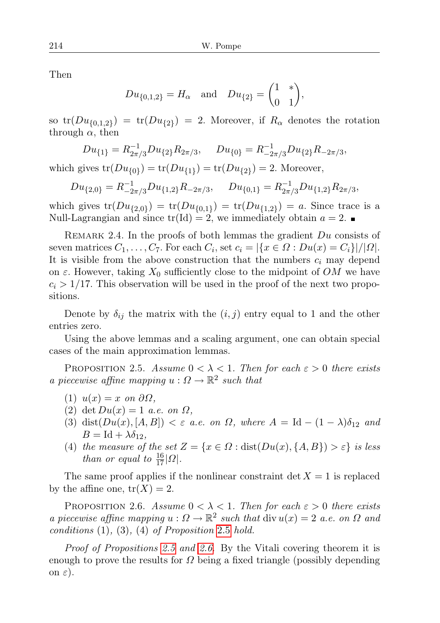Then

$$
Du_{\{0,1,2\}} = H_{\alpha}
$$
 and  $Du_{\{2\}} = \begin{pmatrix} 1 & * \\ 0 & 1 \end{pmatrix}$ ,

so  $\text{tr}(Du_{\{0,1,2\}}) = \text{tr}(Du_{\{2\}}) = 2$ . Moreover, if  $R_\alpha$  denotes the rotation through  $\alpha$ , then

$$
Du_{\{1\}} = R_{2\pi/3}^{-1} Du_{\{2\}} R_{2\pi/3}, \quad Du_{\{0\}} = R_{-2\pi/3}^{-1} Du_{\{2\}} R_{-2\pi/3},
$$

which gives  $\text{tr}(Du_{\{0\}}) = \text{tr}(Du_{\{1\}}) = \text{tr}(Du_{\{2\}}) = 2$ . Moreover,

$$
Du_{\{2,0\}} = R_{-2\pi/3}^{-1} Du_{\{1,2\}} R_{-2\pi/3}, \quad Du_{\{0,1\}} = R_{2\pi/3}^{-1} Du_{\{1,2\}} R_{2\pi/3},
$$

which gives  $tr(Du_{\{2,0\}}) = tr(Du_{\{0,1\}}) = tr(Du_{\{1,2\}}) = a$ . Since trace is a Null-Lagrangian and since  $tr(\text{Id}) = 2$ , we immediately obtain  $a = 2$ .

<span id="page-5-2"></span>REMARK 2.4. In the proofs of both lemmas the gradient  $Du$  consists of seven matrices  $C_1, \ldots, C_7$ . For each  $C_i$ , set  $c_i = |\{x \in \Omega : Du(x) = C_i\}|/|\Omega|$ . It is visible from the above construction that the numbers  $c_i$  may depend on  $\varepsilon$ . However, taking  $X_0$  sufficiently close to the midpoint of OM we have  $c_i > 1/17$ . This observation will be used in the proof of the next two propositions.

Denote by  $\delta_{ij}$  the matrix with the  $(i, j)$  entry equal to 1 and the other entries zero.

Using the above lemmas and a scaling argument, one can obtain special cases of the main approximation lemmas.

<span id="page-5-0"></span>PROPOSITION 2.5. Assume  $0 < \lambda < 1$ . Then for each  $\varepsilon > 0$  there exists a piecewise affine mapping  $u: \Omega \to \mathbb{R}^2$  such that

- (1)  $u(x) = x$  on  $\partial\Omega$ ,
- (2) det  $Du(x)=1$  a.e. on  $\Omega$ ,
- (3) dist $(Du(x), [A, B]) < \varepsilon$  a.e. on  $\Omega$ , where  $A = Id (1 \lambda)\delta_{12}$  and  $B = Id + \lambda \delta_{12}$ ,
- (4) the measure of the set  $Z = \{x \in \Omega : dist(Du(x), \{A, B\}) > \varepsilon\}$  is less *than or equal to*  $\frac{16}{17}|\Omega|$ .

The same proof applies if the nonlinear constraint  $\det X = 1$  is replaced by the affine one,  $tr(X) = 2$ .

<span id="page-5-1"></span>PROPOSITION 2.6. Assume  $0 < \lambda < 1$ . Then for each  $\varepsilon > 0$  there exists a piecewise affine mapping  $u : \Omega \to \mathbb{R}^2$  such that  $\text{div } u(x) = 2$  a.e. on  $\Omega$  and  $conditions (1), (3), (4)$  of Proposition [2](#page-5-0).5 hold.

Proof of Propositions [2.5](#page-5-0) and [2.6](#page-5-1). By the Vitali covering theorem it is enough to prove the results for  $\Omega$  being a fixed triangle (possibly depending on  $\varepsilon$ ).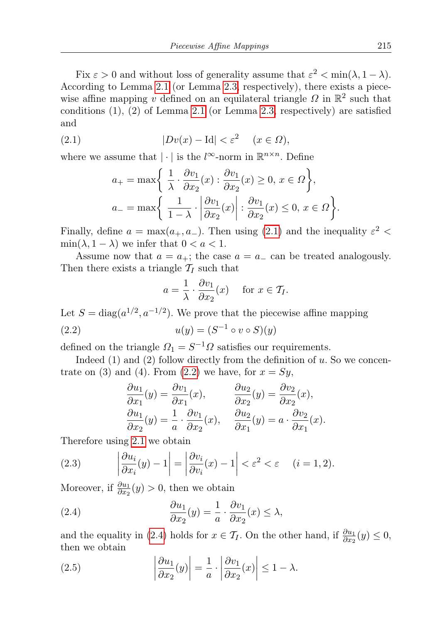Fix  $\varepsilon > 0$  and without loss of generality assume that  $\varepsilon^2 < \min(\lambda, 1 - \lambda)$ . According to Lemma [2.1](#page-2-0) (or Lemma [2.3,](#page-4-0) respectively), there exists a piecewise affine mapping v defined on an equilateral triangle  $\Omega$  in  $\mathbb{R}^2$  such that conditions  $(1)$ ,  $(2)$  of Lemma [2.1](#page-2-0) (or Lemma [2.3,](#page-4-0) respectively) are satisfied and

(2.1) 
$$
|Dv(x) - Id| < \varepsilon^2 \quad (x \in \Omega),
$$

where we assume that  $|\cdot|$  is the  $l^{\infty}$ -norm in  $\mathbb{R}^{n \times n}$ . Define

<span id="page-6-0"></span>
$$
a_{+} = \max\left\{\begin{array}{l}\frac{1}{\lambda} \cdot \frac{\partial v_{1}}{\partial x_{2}}(x) : \frac{\partial v_{1}}{\partial x_{2}}(x) \ge 0, x \in \Omega\right\},\\a_{-} = \max\left\{\begin{array}{l}\frac{1}{1-\lambda} \cdot \left|\frac{\partial v_{1}}{\partial x_{2}}(x)\right| : \frac{\partial v_{1}}{\partial x_{2}}(x) \le 0, x \in \Omega\right\}.\end{array}\right.
$$

Finally, define  $a = \max(a_+, a_-)$ . Then using [\(2.1\)](#page-6-0) and the inequality  $\varepsilon^2$  <  $\min(\lambda, 1 - \lambda)$  we infer that  $0 < a < 1$ .

Assume now that  $a = a_+$ ; the case  $a = a_-$  can be treated analogously. Then there exists a triangle  $\mathcal{T}_I$  such that

<span id="page-6-1"></span>
$$
a = \frac{1}{\lambda} \cdot \frac{\partial v_1}{\partial x_2}(x) \quad \text{for } x \in \mathcal{T}_I.
$$

Let  $S = \text{diag}(a^{1/2}, a^{-1/2})$ . We prove that the piecewise affine mapping (2.2)  $u(y) = (S^{-1} \circ v \circ S)(y)$ 

defined on the triangle  $\Omega_1 = S^{-1} \Omega$  satisfies our requirements.

Indeed  $(1)$  and  $(2)$  follow directly from the definition of u. So we concen-trate on (3) and (4). From [\(2.2\)](#page-6-1) we have, for  $x = Sy$ ,

$$
\frac{\partial u_1}{\partial x_1}(y) = \frac{\partial v_1}{\partial x_1}(x), \qquad \frac{\partial u_2}{\partial x_2}(y) = \frac{\partial v_2}{\partial x_2}(x),
$$
  

$$
\frac{\partial u_1}{\partial x_2}(y) = \frac{1}{a} \cdot \frac{\partial v_1}{\partial x_2}(x), \qquad \frac{\partial u_2}{\partial x_1}(y) = a \cdot \frac{\partial v_2}{\partial x_1}(x).
$$

Therefore using [2.1](#page-6-0) we obtain

<span id="page-6-3"></span>(2.3) 
$$
\left|\frac{\partial u_i}{\partial x_i}(y) - 1\right| = \left|\frac{\partial v_i}{\partial v_i}(x) - 1\right| < \varepsilon^2 < \varepsilon \quad (i = 1, 2).
$$

Moreover, if  $\frac{\partial u_1}{\partial x_2}(y) > 0$ , then we obtain

<span id="page-6-2"></span>(2.4) 
$$
\frac{\partial u_1}{\partial x_2}(y) = \frac{1}{a} \cdot \frac{\partial v_1}{\partial x_2}(x) \le \lambda,
$$

and the equality in [\(2.4\)](#page-6-2) holds for  $x \in \mathcal{T}_I$ . On the other hand, if  $\frac{\partial u_1}{\partial x_2}(y) \leq 0$ , then we obtain

(2.5) 
$$
\left|\frac{\partial u_1}{\partial x_2}(y)\right| = \frac{1}{a} \cdot \left|\frac{\partial v_1}{\partial x_2}(x)\right| \le 1 - \lambda.
$$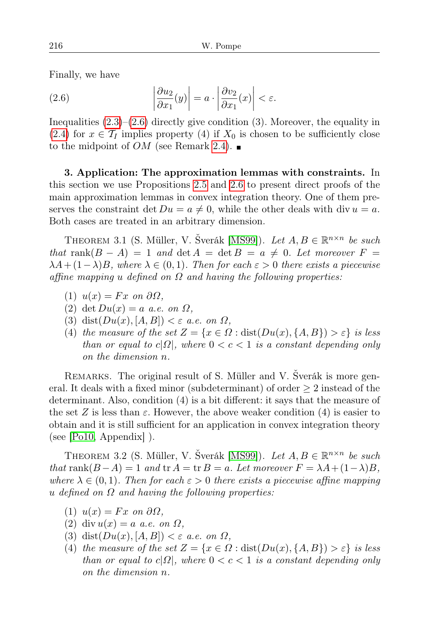Finally, we have

<span id="page-7-0"></span>(2.6) 
$$
\left|\frac{\partial u_2}{\partial x_1}(y)\right| = a \cdot \left|\frac{\partial v_2}{\partial x_1}(x)\right| < \varepsilon.
$$

Inequalities [\(2.3\)](#page-6-3)–[\(2.6\)](#page-7-0) directly give condition (3). Moreover, the equality in [\(2.4\)](#page-6-2) for  $x \in \mathcal{T}_I$  implies property (4) if  $X_0$  is chosen to be sufficiently close to the midpoint of *OM* (see Remark [2.4\)](#page-5-2).

3. Application: The approximation lemmas with constraints. In this section we use Propositions [2.5](#page-5-0) and [2.6](#page-5-1) to present direct proofs of the main approximation lemmas in convex integration theory. One of them preserves the constraint det  $Du = a \neq 0$ , while the other deals with div  $u = a$ . Both cases are treated in an arbitrary dimension.

<span id="page-7-1"></span>THEOREM 3.1 (S. Müller, V. Šverák [\[MS99\]](#page-10-13)). Let  $A, B \in \mathbb{R}^{n \times n}$  be such that rank $(B - A) = 1$  and  $\det A = \det B = a \neq 0$ . Let moreover  $F =$  $\lambda A + (1-\lambda)B$ , where  $\lambda \in (0,1)$ . Then for each  $\varepsilon > 0$  there exists a piecewise affine mapping u defined on  $\Omega$  and having the following properties:

- (1)  $u(x) = Fx$  on  $\partial\Omega$ .
- (2) det  $Du(x) = a$  a.e. on  $\Omega$ ,
- (3) dist $(Du(x), [A, B]) < \varepsilon$  a.e. on  $\Omega$ ,
- (4) the measure of the set  $Z = \{x \in \Omega : dist(Du(x), \{A, B\}) > \varepsilon\}$  is less than or equal to  $c|\Omega|$ , where  $0 < c < 1$  is a constant depending only on the dimension n.

REMARKS. The original result of S. Müller and V. Šverák is more general. It deals with a fixed minor (subdeterminant) of order  $\geq 2$  instead of the determinant. Also, condition (4) is a bit different: it says that the measure of the set Z is less than  $\varepsilon$ . However, the above weaker condition (4) is easier to obtain and it is still sufficient for an application in convex integration theory (see [\[Po10,](#page-11-2) Appendix] ).

<span id="page-7-2"></span>THEOREM 3.2 (S. Müller, V. Šverák [\[MS99\]](#page-10-13)). Let  $A, B \in \mathbb{R}^{n \times n}$  be such that rank $(B-A) = 1$  and tr  $A = \text{tr } B = a$ . Let moreover  $F = \lambda A + (1-\lambda)B$ , where  $\lambda \in (0,1)$ . Then for each  $\varepsilon > 0$  there exists a piecewise affine mapping u defined on  $\Omega$  and having the following properties:

- (1)  $u(x) = Fx$  on  $\partial\Omega$ ,
- (2) div  $u(x) = a$  a.e. on  $\Omega$ ,
- (3) dist $(Du(x), [A, B]) < \varepsilon$  a.e. on  $\Omega$ ,
- (4) the measure of the set  $Z = \{x \in \Omega : dist(Du(x), \{A, B\}) > \varepsilon\}$  is less than or equal to  $c|\Omega|$ , where  $0 < c < 1$  is a constant depending only on the dimension n.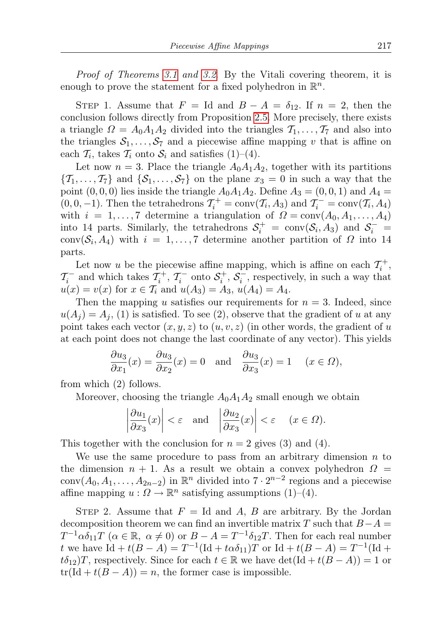Proof of Theorems [3.1](#page-7-1) and [3.2](#page-7-2). By the Vitali covering theorem, it is enough to prove the statement for a fixed polyhedron in  $\mathbb{R}^n$ .

STEP 1. Assume that  $F = \text{Id}$  and  $B - A = \delta_{12}$ . If  $n = 2$ , then the conclusion follows directly from Proposition [2.5.](#page-5-0) More precisely, there exists a triangle  $\Omega = A_0 A_1 A_2$  divided into the triangles  $\mathcal{T}_1, \ldots, \mathcal{T}_7$  and also into the triangles  $S_1, \ldots, S_7$  and a piecewise affine mapping v that is affine on each  $\mathcal{T}_i$ , takes  $\mathcal{T}_i$  onto  $\mathcal{S}_i$  and satisfies  $(1)$ – $(4)$ .

Let now  $n = 3$ . Place the triangle  $A_0A_1A_2$ , together with its partitions  $\{T_1, \ldots, T_7\}$  and  $\{S_1, \ldots, S_7\}$  on the plane  $x_3 = 0$  in such a way that the point  $(0, 0, 0)$  lies inside the triangle  $A_0A_1A_2$ . Define  $A_3 = (0, 0, 1)$  and  $A_4 =$  $(0, 0, -1)$ . Then the tetrahedrons  $\mathcal{T}_i^+ = \text{conv}(\mathcal{T}_i, A_3)$  and  $\mathcal{T}_i^- = \text{conv}(\mathcal{T}_i, A_4)$ with  $i = 1, ..., 7$  determine a triangulation of  $\Omega = \text{conv}(A_0, A_1, ..., A_4)$ into 14 parts. Similarly, the tetrahedrons  $S_i^+ = \text{conv}(S_i, A_3)$  and  $S_i^- =$  $conv(S_i, A_4)$  with  $i = 1, ..., 7$  determine another partition of  $\Omega$  into 14 parts.

Let now u be the piecewise affine mapping, which is affine on each  $\mathcal{T}_i^+$ ,  $\mathcal{T}_i^-$  and which takes  $\mathcal{T}_i^+$ ,  $\mathcal{T}_i^-$  onto  $\mathcal{S}_i^+$ ,  $\mathcal{S}_i^-$ , respectively, in such a way that  $u(x) = v(x)$  for  $x \in \mathcal{T}_i$  and  $u(A_3) = A_3$ ,  $u(A_4) = A_4$ .

Then the mapping u satisfies our requirements for  $n = 3$ . Indeed, since  $u(A_i) = A_i$ , (1) is satisfied. To see (2), observe that the gradient of u at any point takes each vector  $(x, y, z)$  to  $(u, v, z)$  (in other words, the gradient of u at each point does not change the last coordinate of any vector). This yields

$$
\frac{\partial u_3}{\partial x_1}(x) = \frac{\partial u_3}{\partial x_2}(x) = 0 \text{ and } \frac{\partial u_3}{\partial x_3}(x) = 1 \quad (x \in \Omega),
$$

from which (2) follows.

Moreover, choosing the triangle  $A_0A_1A_2$  small enough we obtain

$$
\left|\frac{\partial u_1}{\partial x_3}(x)\right| < \varepsilon
$$
 and  $\left|\frac{\partial u_2}{\partial x_3}(x)\right| < \varepsilon$   $(x \in \Omega)$ .

This together with the conclusion for  $n = 2$  gives (3) and (4).

We use the same procedure to pass from an arbitrary dimension  $n$  to the dimension  $n + 1$ . As a result we obtain a convex polyhedron  $\Omega =$ conv $(A_0, A_1, \ldots, A_{2n-2})$  in  $\mathbb{R}^n$  divided into  $7 \cdot 2^{n-2}$  regions and a piecewise affine mapping  $u: \Omega \to \mathbb{R}^n$  satisfying assumptions (1)–(4).

STEP 2. Assume that  $F = Id$  and A, B are arbitrary. By the Jordan decomposition theorem we can find an invertible matrix T such that  $B-A =$  $T^{-1}\alpha\delta_{11}T\;$   $(\alpha \in \mathbb{R}, \; \alpha \neq 0)$  or  $B - A = T^{-1}\delta_{12}T$ . Then for each real number t we have  $\mathrm{Id} + t(B - A) = T^{-1}(\mathrm{Id} + t\alpha \delta_{11})T$  or  $\mathrm{Id} + t(B - A) = T^{-1}(\mathrm{Id} +$  $t\delta_{12}$ )T, respectively. Since for each  $t \in \mathbb{R}$  we have  $\det(\text{Id} + t(B - A)) = 1$  or  $tr(\text{Id} + t(B - A)) = n$ , the former case is impossible.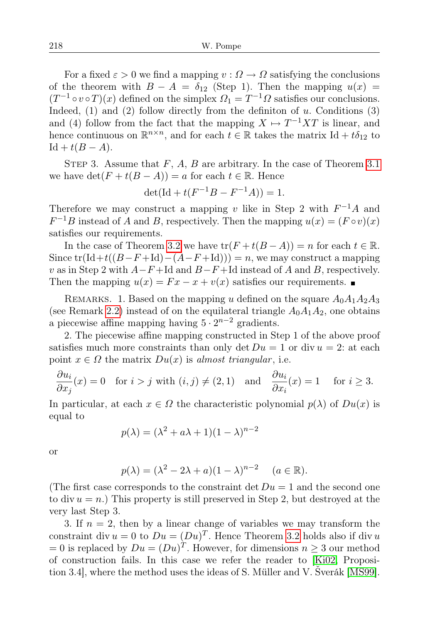For a fixed  $\varepsilon > 0$  we find a mapping  $v : \Omega \to \Omega$  satisfying the conclusions of the theorem with  $B - A = \delta_{12}$  (Step 1). Then the mapping  $u(x) =$  $(T^{-1} \circ v \circ T)(x)$  defined on the simplex  $\Omega_1 = T^{-1} \Omega$  satisfies our conclusions. Indeed,  $(1)$  and  $(2)$  follow directly from the definiton of u. Conditions  $(3)$ and (4) follow from the fact that the mapping  $X \mapsto T^{-1}XT$  is linear, and hence continuous on  $\mathbb{R}^{n \times n}$ , and for each  $t \in \mathbb{R}$  takes the matrix Id +  $t\delta_{12}$  to  $\mathrm{Id} + t(B - A).$ 

STEP 3. Assume that  $F$ ,  $A$ ,  $B$  are arbitrary. In the case of Theorem [3.1](#page-7-1) we have  $\det(F + t(B - A)) = a$  for each  $t \in \mathbb{R}$ . Hence

$$
\det(\mathrm{Id} + t(F^{-1}B - F^{-1}A)) = 1.
$$

Therefore we may construct a mapping v like in Step 2 with  $F^{-1}A$  and  $F^{-1}B$  instead of A and B, respectively. Then the mapping  $u(x) = (F \circ v)(x)$ satisfies our requirements.

In the case of Theorem [3.2](#page-7-2) we have  $\text{tr}(F+t(B-A))=n$  for each  $t \in \mathbb{R}$ . Since  $tr(\text{Id}+t((B-F+\text{Id})-(A-F+\text{Id})))=n$ , we may construct a mapping v as in Step 2 with  $A-F+Id$  and  $B-F+Id$  instead of A and B, respectively. Then the mapping  $u(x) = Fx - x + v(x)$  satisfies our requirements.

REMARKS. 1. Based on the mapping u defined on the square  $A_0A_1A_2A_3$ (see Remark [2.2\)](#page-3-0) instead of on the equilateral triangle  $A_0A_1A_2$ , one obtains a piecewise affine mapping having  $5 \cdot 2^{n-2}$  gradients.

2. The piecewise affine mapping constructed in Step 1 of the above proof satisfies much more constraints than only det  $Du = 1$  or div  $u = 2$ : at each point  $x \in \Omega$  the matrix  $Du(x)$  is almost triangular, i.e.

$$
\frac{\partial u_i}{\partial x_j}(x) = 0 \quad \text{for } i > j \text{ with } (i, j) \neq (2, 1) \quad \text{and} \quad \frac{\partial u_i}{\partial x_i}(x) = 1 \quad \text{ for } i \geq 3.
$$

In particular, at each  $x \in \Omega$  the characteristic polynomial  $p(\lambda)$  of  $Du(x)$  is equal to

$$
p(\lambda) = (\lambda^2 + a\lambda + 1)(1 - \lambda)^{n-2}
$$

or

$$
p(\lambda) = (\lambda^2 - 2\lambda + a)(1 - \lambda)^{n-2} \quad (a \in \mathbb{R}).
$$

(The first case corresponds to the constraint det  $Du = 1$  and the second one to div  $u = n$ .) This property is still preserved in Step 2, but destroyed at the very last Step 3.

3. If  $n = 2$ , then by a linear change of variables we may transform the constraint div  $u = 0$  to  $Du = (Du)^T$ . Hence Theorem [3.2](#page-7-2) holds also if div u  $= 0$  is replaced by  $Du = (Du)^T$ . However, for dimensions  $n \geq 3$  our method of construction fails. In this case we refer the reader to [\[Ki02,](#page-10-12) Proposition 3.4], where the method uses the ideas of S. Müller and V. Šverák [\[MS99\]](#page-10-13).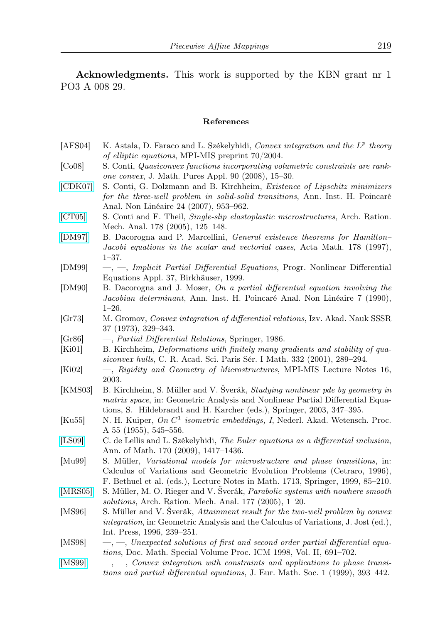Acknowledgments. This work is supported by the KBN grant nr 1 PO3 A 008 29.

## References

<span id="page-10-15"></span><span id="page-10-14"></span><span id="page-10-11"></span><span id="page-10-10"></span><span id="page-10-9"></span><span id="page-10-4"></span><span id="page-10-3"></span><span id="page-10-2"></span><span id="page-10-1"></span>

| [AFS04] | K. Astala, D. Faraco and L. Székelyhidi, Convex integration and the L <sup>p</sup> theory<br>of elliptic equations, MPI-MIS preprint $70/2004$ . |
|---------|--------------------------------------------------------------------------------------------------------------------------------------------------|
| [Co08]  |                                                                                                                                                  |
|         | S. Conti, Quasiconvex functions incorporating volumetric constraints are rank-<br>one convex, J. Math. Pures Appl. 90 (2008), 15-30.             |
| [CDK07] | S. Conti, G. Dolzmann and B. Kirchheim, <i>Existence of Lipschitz minimizers</i>                                                                 |
|         | for the three-well problem in solid-solid transitions, Ann. Inst. H. Poincaré                                                                    |
|         | Anal. Non Linéaire 24 (2007), 953-962.                                                                                                           |
| [CT05]  | S. Conti and F. Theil, Single-slip elastoplastic microstructures, Arch. Ration.                                                                  |
|         | Mech. Anal. 178 (2005), 125-148.                                                                                                                 |
| [DM97]  | B. Dacorogna and P. Marcellini, General existence theorems for Hamilton-                                                                         |
|         | Jacobi equations in the scalar and vectorial cases, Acta Math. 178 (1997),                                                                       |
|         | $1 - 37.$                                                                                                                                        |
| [DM99]  | -, -, Implicit Partial Differential Equations, Progr. Nonlinear Differential                                                                     |
|         | Equations Appl. 37, Birkhäuser, 1999.                                                                                                            |
| [DM90]  | B. Dacorogna and J. Moser, On a partial differential equation involving the                                                                      |
|         | Jacobian determinant, Ann. Inst. H. Poincaré Anal. Non Linéaire 7 (1990),                                                                        |
|         | $1 - 26.$                                                                                                                                        |
| [Gr73]  | M. Gromov, Convex integration of differential relations, Izv. Akad. Nauk SSSR                                                                    |
|         | $37(1973), 329-343.$                                                                                                                             |
| [Gr86]  | -, Partial Differential Relations, Springer, 1986.                                                                                               |
| [Ki01]  | B. Kirchheim, Deformations with finitely many gradients and stability of qua-                                                                    |
|         | siconvex hulls, C. R. Acad. Sci. Paris Sér. I Math. 332 (2001), 289–294.                                                                         |
| [Ki02]  | -, Rigidity and Geometry of Microstructures, MPI-MIS Lecture Notes 16,                                                                           |
|         | $2003.$                                                                                                                                          |
| [KMS03] | B. Kirchheim, S. Müller and V. Šverák, Studying nonlinear pde by geometry in                                                                     |
|         | <i>matrix space</i> , in: Geometric Analysis and Nonlinear Partial Differential Equa-                                                            |
|         | tions, S. Hildebrandt and H. Karcher (eds.), Springer, 2003, 347–395.                                                                            |
| [Ku55]  | N. H. Kuiper, On $C^1$ isometric embeddings, I, Nederl. Akad. Wetensch. Proc.                                                                    |
|         | A $55$ (1955), 545–556.                                                                                                                          |
| [LS09]  | C. de Lellis and L. Székelyhidi, The Euler equations as a differential inclusion,                                                                |
|         | Ann. of Math. 170 (2009), 1417-1436.                                                                                                             |
| [Mu99]  | S. Müller, <i>Variational models for microstructure and phase transitions</i> , in:                                                              |
|         | Calculus of Variations and Geometric Evolution Problems (Cetraro, 1996),                                                                         |
|         | F. Bethuel et al. (eds.), Lecture Notes in Math. 1713, Springer, 1999, 85-210.                                                                   |
| [MRS05] | S. Müller, M. O. Rieger and V. Šverák, Parabolic systems with nowhere smooth                                                                     |
|         | solutions, Arch. Ration. Mech. Anal. 177 (2005), 1-20.                                                                                           |
| [MS96]  | S. Müller and V. Šverák, Attainment result for the two-well problem by convex                                                                    |
|         | integration, in: Geometric Analysis and the Calculus of Variations, J. Jost (ed.),                                                               |
|         | Int. Press, 1996, 239-251.                                                                                                                       |
| [MS98]  | $-,-$ , Unexpected solutions of first and second order partial differential equa-                                                                |
|         | tions, Doc. Math. Special Volume Proc. ICM 1998, Vol. II, 691-702.                                                                               |
| [11000] | Converse internation with constructive and confirming to phone transit                                                                           |

<span id="page-10-13"></span><span id="page-10-12"></span><span id="page-10-8"></span><span id="page-10-7"></span><span id="page-10-6"></span><span id="page-10-5"></span><span id="page-10-0"></span>[\[MS99\]](http://dx.doi.org/10.1007/s100970050012)  $\quad -$ ,  $\quad$ , Convex integration with constraints and applications to phase transitions and partial differential equations, J. Eur. Math. Soc. 1 (1999), 393–442.